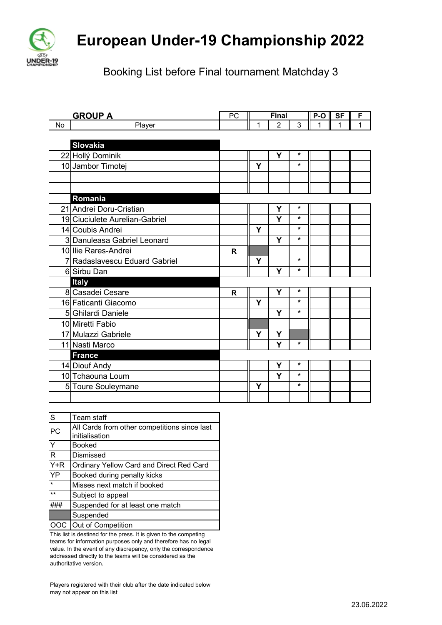

## **European Under-19 Championship 2022**

Booking List before Final tournament Matchday 3

|    | <b>GROUP A</b>                 |              | Final |                |         | P-O | <b>SF</b> | F |
|----|--------------------------------|--------------|-------|----------------|---------|-----|-----------|---|
| No | Player                         |              | 1     | $\overline{2}$ | 3       |     | 1         | 1 |
|    |                                |              |       |                |         |     |           |   |
|    | <b>Slovakia</b>                |              |       |                |         |     |           |   |
|    | 22 Hollý Dominik               |              |       | Y              | *       |     |           |   |
|    | 10 Jambor Timotej              |              | Y     |                | $\star$ |     |           |   |
|    |                                |              |       |                |         |     |           |   |
|    |                                |              |       |                |         |     |           |   |
|    | Romania                        |              |       |                |         |     |           |   |
|    | 21 Andrei Doru-Cristian        |              |       | Y              | *       |     |           |   |
|    | 19 Ciuciulete Aurelian-Gabriel |              |       | Y              | $\star$ |     |           |   |
|    | 14 Coubis Andrei               |              | Y     |                | $\star$ |     |           |   |
|    | 3 Danuleasa Gabriel Leonard    |              |       | Y              | $\star$ |     |           |   |
|    | 10 Ilie Rares-Andrei           | R            |       |                |         |     |           |   |
|    | 7 Radaslavescu Eduard Gabriel  |              | Y     |                | $\star$ |     |           |   |
|    | 6 Sirbu Dan                    |              |       | Y              | $\star$ |     |           |   |
|    | <b>Italy</b>                   |              |       |                |         |     |           |   |
|    | 8 Casadei Cesare               | $\mathsf{R}$ |       | Y              | $\star$ |     |           |   |
|    | 16 Faticanti Giacomo           |              | Y     |                | $\star$ |     |           |   |
|    | 5 Ghilardi Daniele             |              |       | Y              | $\star$ |     |           |   |
|    | 10 Miretti Fabio               |              |       |                |         |     |           |   |
|    | 17 Mulazzi Gabriele            |              | Y     | Y              |         |     |           |   |
|    | 11 Nasti Marco                 |              |       | Y              | $\star$ |     |           |   |
|    | <b>France</b>                  |              |       |                |         |     |           |   |
|    | 14 Diouf Andy                  |              |       | Y              | *       |     |           |   |
|    | 10 Tchaouna Loum               |              |       | Y              | $\star$ |     |           |   |
|    | 5 Toure Souleymane             |              | Y     |                | $\star$ |     |           |   |
|    |                                |              |       |                |         |     |           |   |

| S                 | Team staff                                   |
|-------------------|----------------------------------------------|
| PC                | All Cards from other competitions since last |
|                   | initialisation                               |
| Y                 | <b>Booked</b>                                |
| R                 | Dismissed                                    |
| $\overline{Y}$ +R | Ordinary Yellow Card and Direct Red Card     |
| YP                | Booked during penalty kicks                  |
| $\star$           | Misses next match if booked                  |
| $***$             | Subject to appeal                            |
|                   | Suspended for at least one match             |
|                   | Suspended                                    |
|                   | Out of Competition                           |

This list is destined for the press. It is given to the competing teams for information purposes only and therefore has no legal value. In the event of any discrepancy, only the correspondence addressed directly to the teams will be considered as the authoritative version.